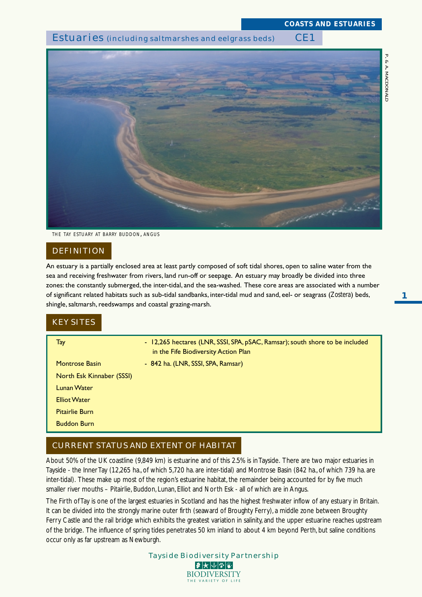# Estuaries (including saltmarshes and eelgrass beds) CE1



*THE TAY ESTUARY AT BARRY BUDDON, ANGUS*

### **DEFINITION**

An estuary is a partially enclosed area at least partly composed of soft tidal shores, open to saline water from the sea and receiving freshwater from rivers, land run-off or seepage. An estuary may broadly be divided into three zones: the constantly submerged, the inter-tidal, and the sea-washed. These core areas are associated with a number of significant related habitats such as sub-tidal sandbanks, inter-tidal mud and sand, eel- or seagrass (*Zostera*) beds, shingle, saltmarsh, reedswamps and coastal grazing-marsh.

# KEY SITES

| Tay                       | - 12,265 hectares (LNR, SSSI, SPA, pSAC, Ramsar); south shore to be included<br>in the Fife Biodiversity Action Plan |
|---------------------------|----------------------------------------------------------------------------------------------------------------------|
| <b>Montrose Basin</b>     | - 842 ha. (LNR, SSSI, SPA, Ramsar)                                                                                   |
| North Esk Kinnaber (SSSI) |                                                                                                                      |
| <b>Lunan Water</b>        |                                                                                                                      |
| <b>Elliot Water</b>       |                                                                                                                      |
| <b>Pitairlie Burn</b>     |                                                                                                                      |
| <b>Buddon Burn</b>        |                                                                                                                      |
|                           |                                                                                                                      |

# CURRENT STATUS AND EXTENT OF HABITAT

About 50% of the UK coastline (9,849 km) is estuarine and of this 2.5% is in Tayside. There are two major estuaries in Tayside - the Inner Tay (12,265 ha., of which 5,720 ha. are inter-tidal) and Montrose Basin (842 ha., of which 739 ha. are inter-tidal). These make up most of the region's estuarine habitat, the remainder being accounted for by five much smaller river mouths – Pitairlie, Buddon, Lunan, Elliot and North Esk - all of which are in Angus.

The Firth of Tay is one of the largest estuaries in Scotland and has the highest freshwater inflow of any estuary in Britain. It can be divided into the strongly marine outer firth (seaward of Broughty Ferry), a middle zone between Broughty Ferry Castle and the rail bridge which exhibits the greatest variation in salinity, and the upper estuarine reaches upstream of the bridge. The influence of spring tides penetrates 50 km inland to about 4 km beyond Perth, but saline conditions occur only as far upstream as Newburgh.



*P*

**1**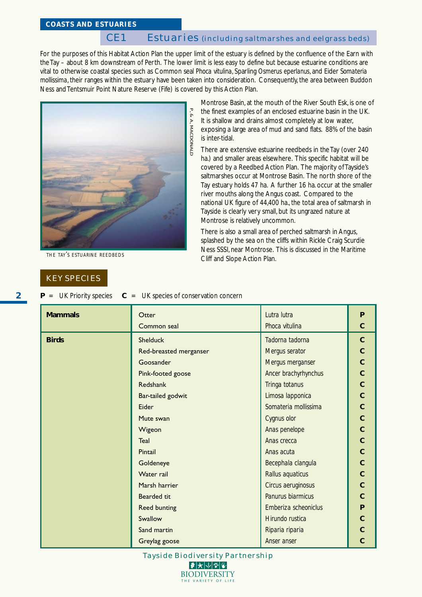# CE1 Estuaries (including saltmarshes and eelgrass beds)

For the purposes of this Habitat Action Plan the upper limit of the estuary is defined by the confluence of the Earn with the Tay – about 8 km downstream of Perth. The lower limit is less easy to define but because estuarine conditions are vital to otherwise coastal species such as Common seal *Phoca vitulina*, Sparling *Osmerus eperlanus*, and Eider *Somateria mollissima*, their ranges within the estuary have been taken into consideration. Consequently, the area between Buddon Ness and Tentsmuir Point Nature Reserve (Fife) is covered by this Action Plan.



*THE TAY'S ESTUARINE REEDBEDS*

### KEY SPECIES

Montrose Basin, at the mouth of the River South Esk, is one of the finest examples of an enclosed estuarine basin in the UK. It is shallow and drains almost completely at low water, exposing a large area of mud and sand flats. 88% of the basin is inter-tidal.

There are extensive estuarine reedbeds in the Tay (over 240 ha.) and smaller areas elsewhere. This specific habitat will be covered by a Reedbed Action Plan. The majority of Tayside's saltmarshes occur at Montrose Basin. The north shore of the Tay estuary holds 47 ha. A further 16 ha. occur at the smaller river mouths along the Angus coast. Compared to the national UK figure of 44,400 ha., the total area of saltmarsh in Tayside is clearly very small, but its ungrazed nature at Montrose is relatively uncommon.

There is also a small area of perched saltmarsh in Angus, splashed by the sea on the cliffs within Rickle Craig Scurdie Ness SSSI, near Montrose. This is discussed in the Maritime Cliff and Slope Action Plan.

| $P =$ | UK Priority species |  | UK species of conservation concern |  |  |
|-------|---------------------|--|------------------------------------|--|--|
|-------|---------------------|--|------------------------------------|--|--|

| <b>Mammals</b> | Otter                                       | Lutra lutra          | P              |  |  |
|----------------|---------------------------------------------|----------------------|----------------|--|--|
|                | Common seal<br>Phoca vitulina               |                      |                |  |  |
| <b>Birds</b>   | <b>Shelduck</b>                             | Tadorna tadorna      | $\mathbf{C}$   |  |  |
|                | Red-breasted merganser                      | Mergus serator       | $\overline{C}$ |  |  |
|                | Goosander                                   | Mergus merganser     | $\overline{C}$ |  |  |
|                | Pink-footed goose                           | Ancer brachyrhynchus | $\overline{C}$ |  |  |
|                | Redshank                                    | Tringa totanus       | $\overline{C}$ |  |  |
|                | Bar-tailed godwit                           | Limosa lapponica     | $\overline{C}$ |  |  |
|                | Somateria mollissima<br>Eider               |                      |                |  |  |
|                | Mute swan<br>Cygnus olor                    |                      |                |  |  |
|                | Wigeon                                      | Anas penelope        | $\mathbf{C}$   |  |  |
|                | Teal<br>Anas crecca                         |                      | $\overline{C}$ |  |  |
|                | Pintail                                     | Anas acuta           | $\overline{C}$ |  |  |
|                | Goldeneye                                   | Becephala clangula   | $\overline{C}$ |  |  |
|                | Water rail                                  | Rallus aquaticus     | $\overline{C}$ |  |  |
|                | Marsh harrier                               | Circus aeruginosus   | $\overline{C}$ |  |  |
|                | Panurus biarmicus<br><b>Bearded tit</b>     |                      | $\overline{C}$ |  |  |
|                | Emberiza scheoniclus<br><b>Reed bunting</b> |                      | P              |  |  |
|                | Hirundo rustica<br>Swallow                  |                      | $\overline{C}$ |  |  |
|                | Sand martin<br>Riparia riparia              |                      | $\overline{C}$ |  |  |
|                | Greylag goose                               | Anser anser          | $\mathbf C$    |  |  |

Tayside Biodiversity Partnership  $|\mathcal{F}|$  $\bigstar$   $|\mathcal{V}|$   $\mathcal{F}|$   $\mathcal{V}|$ 

> **BIODIVERSITY** THE VARIETY OF LIFE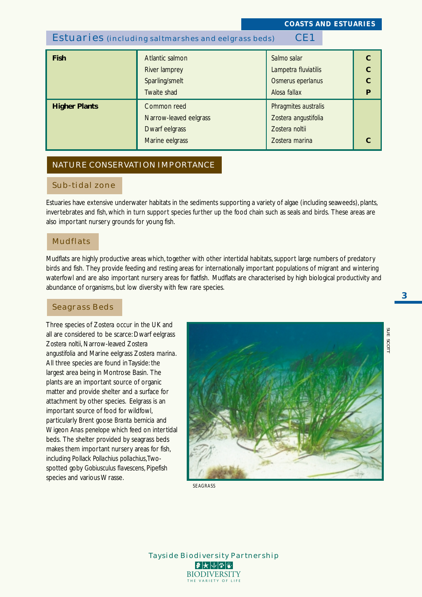# Estuaries (including saltmarshes and eelgrass beds) CE1

| <b>Fish</b>          | Atlantic salmon<br>River lamprey<br>Sparling/smelt<br>Twaite shad          | Salmo salar<br>Lampetra fluviatilis<br>Osmerus eperlanus<br>Alosa fallax         |  |
|----------------------|----------------------------------------------------------------------------|----------------------------------------------------------------------------------|--|
| <b>Higher Plants</b> | Common reed<br>Narrow-leaved eelgrass<br>Dwarf eelgrass<br>Marine eelgrass | Phragmites australis<br>Zostera angustifolia<br>Zostera noltii<br>Zostera marina |  |

### NATURE CONSERVATION IMPORTANCE

## Sub-tidal zone

Estuaries have extensive underwater habitats in the sediments supporting a variety of algae (including seaweeds), plants, invertebrates and fish, which in turn support species further up the food chain such as seals and birds. These areas are also important nursery grounds for young fish.

### Mudflats

Mudflats are highly productive areas which, together with other intertidal habitats, support large numbers of predatory birds and fish. They provide feeding and resting areas for internationally important populations of migrant and wintering waterfowl and are also important nursery areas for flatfish. Mudflats are characterised by high biological productivity and abundance of organisms, but low diversity with few rare species.

### Seagrass Beds

Three species of *Zostera* occur in the UK and all are considered to be scarce: Dwarf eelgrass *Zostera noltii*, Narrow-leaved *Zostera angustifolia* and Marine eelgrass *Zostera marina*. All three species are found in Tayside: the largest area being in Montrose Basin. The plants are an important source of organic matter and provide shelter and a surface for attachment by other species. Eelgrass is an important source of food for wildfowl, particularly Brent goose *Branta bernicia* and Wigeon *Anas penelope* which feed on intertidal beds. The shelter provided by seagrass beds makes them important nursery areas for fish, including Pollack *Pollachius pollachius*, Twospotted goby *Gobiusculus flavescens*, Pipefish species and various Wrasse.



*SEAGRASS*



*SUE SCOTT*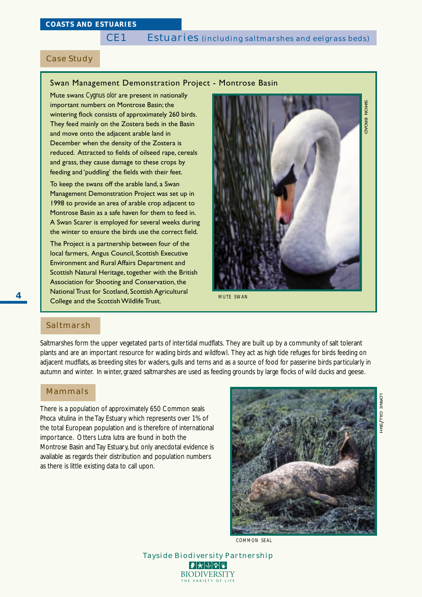# Case Study

#### Swan Management Demonstration Project - Montrose Basin

Mute swans *Cygnus olor* are present in nationally important numbers on Montrose Basin; the wintering flock consists of approximately 260 birds. They feed mainly on the Zostera beds in the Basin and move onto the adjacent arable land in December when the density of the Zostera is reduced. Attracted to fields of oilseed rape, cereals and grass, they cause damage to these crops by feeding and 'puddling' the fields with their feet.

To keep the swans off the arable land, a Swan Management Demonstration Project was set up in 1998 to provide an area of arable crop adjacent to Montrose Basin as a safe haven for them to feed in. A Swan Scarer is employed for several weeks during the winter to ensure the birds use the correct field.

The Project is a partnership between four of the local farmers, Angus Council, Scottish Executive Environment and Rural Affairs Department and Scottish Natural Heritage, together with the British Association for Shooting and Conservation, the National Trust for Scotland, Scottish Agricultural College and the Scottish Wildlife Trust.



*MUTE SWAN*

# Saltmarsh

Saltmarshes form the upper vegetated parts of intertidal mudflats. They are built up by a community of salt tolerant plants and are an important resource for wading birds and wildfowl. They act as high tide refuges for birds feeding on adjacent mudflats, as breeding sites for waders, gulls and terns and as a source of food for passerine birds particularly in autumn and winter. In winter, grazed saltmarshes are used as feeding grounds by large flocks of wild ducks and geese.

### Mammals

There is a population of approximately 650 Common seals *Phoca vitulina* in the Tay Estuary which represents over 1% of the total European population and is therefore of international importance. Otters *Lutra lutra* are found in both the Montrose Basin and Tay Estuary, but only anecdotal evidence is available as regards their distribution and population numbers as there is little existing data to call upon.



*COMMON SEAL*

Tayside Biodiversity Partnership  $|\bm{\vartheta}|$ 大 $|\psi|$ ଆ $|\bm{\psi}|$ **BIODIVERSITY** THE VARIETY OF L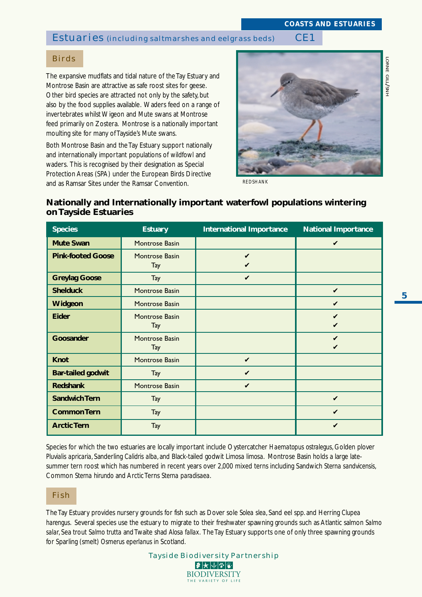# Estuaries (including saltmarshes and eelgrass beds) CE1

# *LORNE GILL/SNH*

Birds

The expansive mudflats and tidal nature of the Tay Estuary and Montrose Basin are attractive as safe roost sites for geese. Other bird species are attracted not only by the safety, but also by the food supplies available. Waders feed on a range of invertebrates whilst Wigeon and Mute swans at Montrose feed primarily on Zostera. Montrose is a nationally important moulting site for many of Tayside's Mute swans.

Both Montrose Basin and the Tay Estuary support nationally and internationally important populations of wildfowl and waders. This is recognised by their designation as Special Protection Areas (SPA) under the European Birds Directive and as Ramsar Sites under the Ramsar Convention.



*REDSHANK*

# **Nationally and Internationally important waterfowl populations wintering on Tayside Estuaries**

| <b>Species</b>           | <b>Estuary</b>        | <b>International Importance</b> | <b>National Importance</b> |
|--------------------------|-----------------------|---------------------------------|----------------------------|
| <b>Mute Swan</b>         | Montrose Basin        |                                 | V                          |
| <b>Pink-footed Goose</b> | Montrose Basin<br>Tay | V<br>V                          |                            |
| <b>Greylag Goose</b>     | Tay                   | $\boldsymbol{\mathcal{U}}$      |                            |
| <b>Shelduck</b>          | Montrose Basin        |                                 | V                          |
| Widgeon                  | Montrose Basin        |                                 | V                          |
| <b>Eider</b>             | Montrose Basin<br>Tay |                                 | V                          |
| Goosander                | Montrose Basin<br>Tay |                                 | V<br>V                     |
| <b>Knot</b>              | <b>Montrose Basin</b> | $\boldsymbol{\nu}$              |                            |
| <b>Bar-tailed godwit</b> | Tay                   | $\boldsymbol{\mathcal{U}}$      |                            |
| <b>Redshank</b>          | Montrose Basin        | V                               |                            |
| <b>Sandwich Tern</b>     | Tay                   |                                 | V                          |
| <b>Common Tern</b>       | <b>Tay</b>            |                                 | V                          |
| <b>Arctic Tern</b>       | Tay                   |                                 | V                          |

Species for which the two estuaries are locally important include Oystercatcher *Haematopus ostralegus*, Golden plover *Pluvialis apricaria*, Sanderling *Calidris alba*, and Black-tailed godwit *Limosa limosa*. Montrose Basin holds a large latesummer tern roost which has numbered in recent years over 2,000 mixed terns including Sandwich *Sterna sandvicensis*, Common *Sterna hirundo* and Arctic Terns *Sterna paradisaea*.

# Fish

The Tay Estuary provides nursery grounds for fish such as Dover sole *Solea slea*, Sand eel spp. and Herring *Clupea harengus*. Several species use the estuary to migrate to their freshwater spawning grounds such as Atlantic salmon *Salmo salar*, Sea trout *Salmo trutta* and Twaite shad *Alosa fallax*. The Tay Estuary supports one of only three spawning grounds for Sparling (smelt) *Osmerus eperlanus* in Scotland.

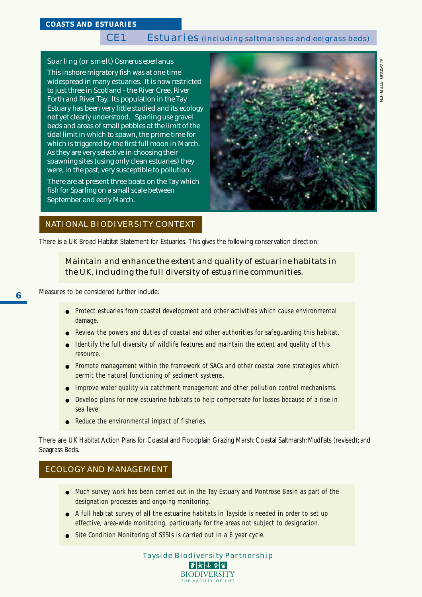# CE1 Estuaries (including saltmarshes and eelgrass beds)

### Sparling (or smelt) *Osmerus eperlanus*

This inshore migratory fish was at one time widespread in many estuaries. It is now restricted to just three in Scotland - the River Cree, River Forth and River Tay. Its population in the Tay Estuary has been very little studied and its ecology not yet clearly understood. Sparling use gravel beds and areas of small pebbles at the limit of the tidal limit in which to spawn, the prime time for which is triggered by the first full moon in March. As they are very selective in choosing their spawning sites (using only clean estuaries) they were, in the past, very susceptible to pollution.

There are at present three boats on the Tay which fish for Sparling on a small scale between September and early March.



### NATIONAL BIODIVERSITY CONTEXT

There is a UK Broad Habitat Statement for Estuaries. This gives the following conservation direction:

# *Maintain and enhance the extent and quality of estuarine habitats in the UK, including the full diversity of estuarine communities.*

Measures to be considered further include:

- Protect estuaries from coastal development and other activities which cause environmental damage.
- Review the powers and duties of coastal and other authorities for safeguarding this habitat.
- Identify the full diversity of wildlife features and maintain the extent and quality of this resource.
- Promote management within the framework of SACs and other coastal zone strategies which permit the natural functioning of sediment systems.
- Improve water quality via catchment management and other pollution control mechanisms.
- Develop plans for new estuarine habitats to help compensate for losses because of a rise in sea level.
- Reduce the environmental impact of fisheries.

There are UK Habitat Action Plans for Coastal and Floodplain Grazing Marsh; Coastal Saltmarsh; Mudflats (revised); and Seagrass Beds.

## ECOLOGY AND MANAGEMENT

- Much survey work has been carried out in the Tay Estuary and Montrose Basin as part of the designation processes and ongoing monitoring.
- A full habitat survey of all the estuarine habitats in Tayside is needed in order to set up effective, area-wide monitoring, particularly for the areas not subject to designation.
- Site Condition Monitoring of SSSIs is carried out in a 6 year cycle.

Tayside Biodiversity Partnership  $|\bm{\vartheta}|$ 大 $|\psi|$ ଆ $|\bm{\psi}|$ **BIODIVERSITY** THE VARIETY OF LI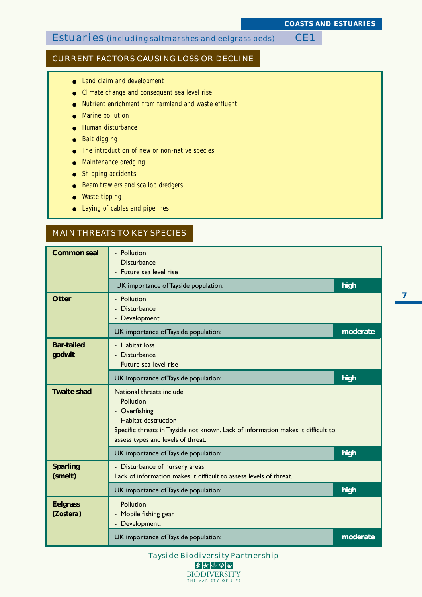# Estuaries (including saltmarshes and eelgrass beds) CE1

## CURRENT FACTORS CAUSING LOSS OR DECLINE

- Land claim and development
- Climate change and consequent sea level rise
- Nutrient enrichment from farmland and waste effluent
- Marine pollution
- Human disturbance
- Bait digging
- The introduction of new or non-native species
- Maintenance dredging
- Shipping accidents
- Beam trawlers and scallop dredgers
- Waste tipping
- Laying of cables and pipelines

# MAIN THREATS TO KEY SPECIES

| <b>Common seal</b>           | - Pollution<br>- Disturbance                                                                                                                                                                                    |          |
|------------------------------|-----------------------------------------------------------------------------------------------------------------------------------------------------------------------------------------------------------------|----------|
|                              |                                                                                                                                                                                                                 |          |
|                              | UK importance of Tayside population:                                                                                                                                                                            | high     |
| <b>Otter</b>                 | - Pollution<br>Disturbance<br>- Development                                                                                                                                                                     |          |
|                              | UK importance of Tayside population:                                                                                                                                                                            | moderate |
| <b>Bar-tailed</b><br>godwit  | - Habitat loss<br><b>Disturbance</b><br>Future sea-level rise                                                                                                                                                   |          |
|                              | UK importance of Tayside population:                                                                                                                                                                            | high     |
| <b>Twaite shad</b>           | National threats include<br>- Pollution<br>Overfishing<br>۰.<br>- Habitat destruction<br>Specific threats in Tayside not known. Lack of information makes it difficult to<br>assess types and levels of threat. |          |
|                              | UK importance of Tayside population:                                                                                                                                                                            | high     |
| <b>Sparling</b><br>(smelt)   | - Disturbance of nursery areas<br>Lack of information makes it difficult to assess levels of threat.                                                                                                            |          |
|                              | UK importance of Tayside population:                                                                                                                                                                            | high     |
| <b>Eelgrass</b><br>(Zostera) | - Pollution<br>Mobile fishing gear<br>- Development.                                                                                                                                                            |          |
|                              | UK importance of Tayside population:                                                                                                                                                                            | moderate |

Tayside Biodiversity Partnership ●★↓☆☆ **BIODIVERSITY** THE VARIETY OF LIFE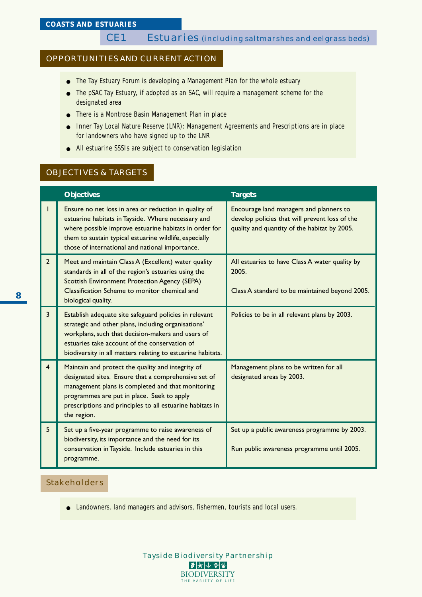### OPPORTUNITIES AND CURRENT ACTION

- The Tay Estuary Forum is developing a Management Plan for the whole estuary
- The pSAC Tay Estuary, if adopted as an SAC, will require a management scheme for the designated area
- There is a Montrose Basin Management Plan in place
- Inner Tay Local Nature Reserve (LNR): Management Agreements and Prescriptions are in place for landowners who have signed up to the LNR
- All estuarine SSSIs are subject to conservation legislation

### OBJECTIVES & TARGETS

|                | <b>Objectives</b>                                                                                                                                                                                                                                                                        | <b>Targets</b>                                                                                                                            |
|----------------|------------------------------------------------------------------------------------------------------------------------------------------------------------------------------------------------------------------------------------------------------------------------------------------|-------------------------------------------------------------------------------------------------------------------------------------------|
| T              | Ensure no net loss in area or reduction in quality of<br>estuarine habitats in Tayside. Where necessary and<br>where possible improve estuarine habitats in order for<br>them to sustain typical estuarine wildlife, especially<br>those of international and national importance.       | Encourage land managers and planners to<br>develop policies that will prevent loss of the<br>quality and quantity of the habitat by 2005. |
| $\overline{2}$ | Meet and maintain Class A (Excellent) water quality<br>standards in all of the region's estuaries using the<br><b>Scottish Environment Protection Agency (SEPA)</b><br>Classification Scheme to monitor chemical and<br>biological quality.                                              | All estuaries to have Class A water quality by<br>2005.<br>Class A standard to be maintained beyond 2005.                                 |
| 3              | Establish adequate site safeguard policies in relevant<br>strategic and other plans, including organisations'<br>workplans, such that decision-makers and users of<br>estuaries take account of the conservation of<br>biodiversity in all matters relating to estuarine habitats.       | Policies to be in all relevant plans by 2003.                                                                                             |
| $\overline{4}$ | Maintain and protect the quality and integrity of<br>designated sites. Ensure that a comprehensive set of<br>management plans is completed and that monitoring<br>programmes are put in place. Seek to apply<br>prescriptions and principles to all estuarine habitats in<br>the region. | Management plans to be written for all<br>designated areas by 2003.                                                                       |
| 5              | Set up a five-year programme to raise awareness of<br>biodiversity, its importance and the need for its<br>conservation in Tayside. Include estuaries in this<br>programme.                                                                                                              | Set up a public awareness programme by 2003.<br>Run public awareness programme until 2005.                                                |

### Stakeholders

● Landowners, land managers and advisors, fishermen, tourists and local users.

**8**

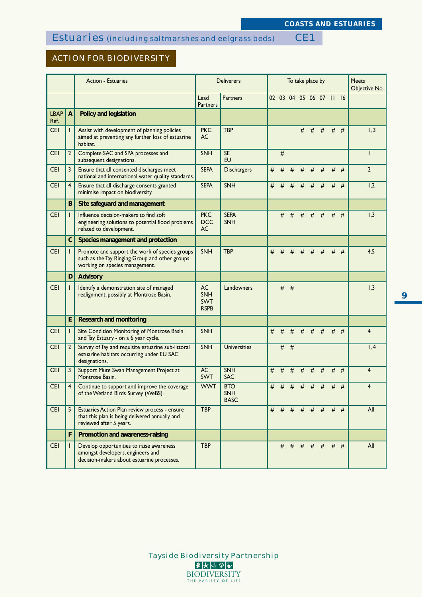# Estuaries (including saltmarshes and eelgrass beds) CE1

# ACTION FOR BIODIVERSITY

|                     |                | <b>Action - Estuaries</b>                                                                                                          |                                                      | <b>Deliverers</b>                | To take place by |   |       | <b>Meets</b><br>Objective No. |   |                         |   |       |                |
|---------------------|----------------|------------------------------------------------------------------------------------------------------------------------------------|------------------------------------------------------|----------------------------------|------------------|---|-------|-------------------------------|---|-------------------------|---|-------|----------------|
|                     |                |                                                                                                                                    | Lead<br><b>Partners</b>                              | <b>Partners</b>                  |                  |   |       |                               |   | 02 03 04 05 06 07 11 16 |   |       |                |
| <b>LBAP</b><br>Ref. | $\overline{A}$ | Policy and legislation                                                                                                             |                                                      |                                  |                  |   |       |                               |   |                         |   |       |                |
| <b>CEI</b>          |                | Assist with development of planning policies<br>aimed at preventing any further loss of estuarine<br>habitat.                      | <b>PKC</b><br><b>AC</b>                              | <b>TBP</b>                       |                  |   |       | #                             | # | #                       |   | $#$ # | 1, 3           |
| <b>CEI</b>          | $\overline{2}$ | Complete SAC and SPA processes and<br>subsequent designations.                                                                     | <b>SNH</b>                                           | <b>SE</b><br><b>EU</b>           |                  | # |       |                               |   |                         |   |       | L              |
| <b>CEI</b>          | 3              | Ensure that all consented discharges meet<br>national and international water quality standards.                                   | <b>SEPA</b>                                          | <b>Dischargers</b>               | #                | # | #     | #                             | # | #                       | # | #     | $\overline{2}$ |
| <b>CEI</b>          | $\overline{4}$ | Ensure that all discharge consents granted<br>minimise impact on biodiversity.                                                     | <b>SEPA</b>                                          | SNH                              | #                | # | #     | #                             | # | #                       | # | #     | 1,2            |
|                     | B              | Site safeguard and management                                                                                                      |                                                      |                                  |                  |   |       |                               |   |                         |   |       |                |
| <b>CEI</b>          |                | Influence decision-makers to find soft<br>engineering solutions to potential flood problems<br>related to development.             | <b>PKC</b><br><b>DCC</b><br><b>AC</b>                | <b>SEPA</b><br><b>SNH</b>        |                  | # | #     | #                             | # | #                       | # | #     | 1,3            |
|                     | $\mathsf{C}$   | Species management and protection                                                                                                  |                                                      |                                  |                  |   |       |                               |   |                         |   |       |                |
| <b>CEI</b>          |                | Promote and support the work of species groups<br>such as the Tay Ringing Group and other groups<br>working on species management. | <b>SNH</b>                                           | <b>TBP</b>                       | #                | # | #     | #                             | # | #                       | # | #     | 4,5            |
|                     | D              | <b>Advisory</b>                                                                                                                    |                                                      |                                  |                  |   |       |                               |   |                         |   |       |                |
| <b>CEI</b>          |                | Identify a demonstration site of managed<br>realignment, possibly at Montrose Basin.                                               | <b>AC</b><br><b>SNH</b><br><b>SWT</b><br><b>RSPB</b> | Landowners                       |                  |   | $#$ # |                               |   |                         |   |       | 1,3            |
|                     | E.             | <b>Research and monitoring</b>                                                                                                     |                                                      |                                  |                  |   |       |                               |   |                         |   |       |                |
| <b>CEI</b>          |                | Site Condition Monitoring of Montrose Basin<br>and Tay Estuary - on a 6 year cycle.                                                | <b>SNH</b>                                           |                                  | #                | # | #     | #                             | # | #                       | # | #     | $\overline{4}$ |
| <b>CEI</b>          | 2              | Survey of Tay and requisite estuarine sub-littoral<br>estuarine habitats occurring under EU SAC<br>designations.                   | <b>SNH</b>                                           | <b>Universities</b>              |                  |   | $#$ # |                               |   |                         |   |       | 1, 4           |
| <b>CEI</b>          | 3              | Support Mute Swan Management Project at<br>Montrose Basin.                                                                         | <b>AC</b><br><b>SWT</b>                              | <b>SNH</b><br><b>SAC</b>         | #                | # | #     | #                             | # | #                       | # | #     | $\overline{4}$ |
| <b>CEI</b>          | 4              | Continue to support and improve the coverage<br>of the Wetland Birds Survey (WeBS).                                                | <b>WWT</b>                                           | <b>BTO</b><br>SNH<br><b>BASC</b> | #                | # | #     | #                             | # | #                       | # | #     | 4              |
| <b>CEI</b>          | 5              | Estuaries Action Plan review process - ensure<br>that this plan is being delivered annually and<br>reviewed after 5 years.         | <b>TBP</b>                                           |                                  |                  |   |       |                               |   | # # # # # # # #         |   |       | All            |
|                     | F              | Promotion and awareness-raising                                                                                                    |                                                      |                                  |                  |   |       |                               |   |                         |   |       |                |
| <b>CEI</b>          |                | Develop opportunities to raise awareness<br>amongst developers, engineers and<br>decision-makers about estuarine processes.        | <b>TBP</b>                                           |                                  |                  |   |       |                               |   | $\#$ # # # #            |   | $#$ # | All            |

**9**